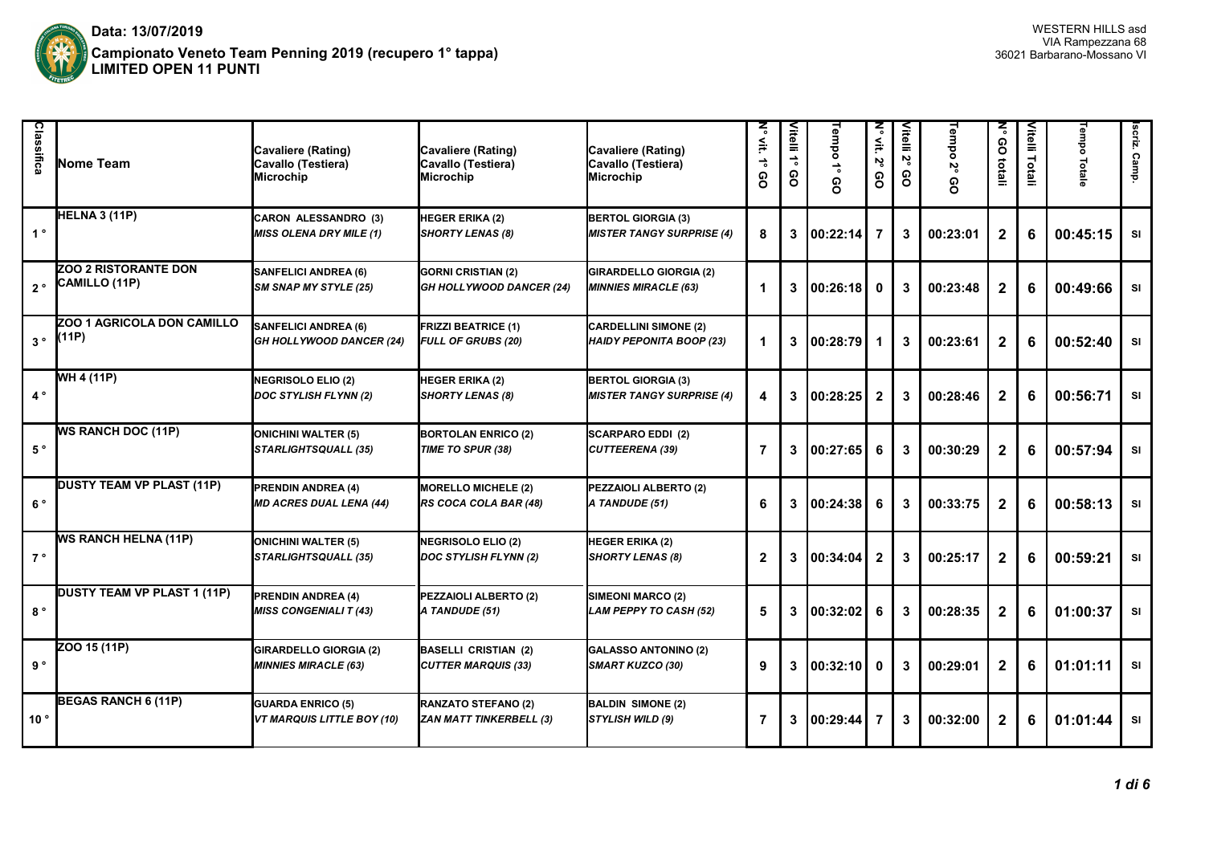

| Classifica  | <b>INome Team</b>                            | <b>Cavaliere (Rating)</b><br>Cavallo (Testiera)<br>Microchip   | <b>Cavaliere (Rating)</b><br>Cavallo (Testiera)<br><b>Microchip</b> | Cavaliere (Rating)<br>Cavallo (Testiera)<br>Microchip           | ζ<br>$\widetilde{\mathbf{H}}$<br>8 | Vitelli 1°<br>80 | Tempo 1°<br>8 | ζ<br>≧.<br>ιŠ<br>၉ | Vitelli<br>Σ,<br>8 | Tempo<br>ιŠ<br>၉ | ξ<br>80<br>totali | Vitelli Totali | <b>Tempo Totale</b> | scriz. Camp |
|-------------|----------------------------------------------|----------------------------------------------------------------|---------------------------------------------------------------------|-----------------------------------------------------------------|------------------------------------|------------------|---------------|--------------------|--------------------|------------------|-------------------|----------------|---------------------|-------------|
| $1^{\circ}$ | HELNA 3 (11P)                                | <b>CARON ALESSANDRO (3)</b><br><b>MISS OLENA DRY MILE (1)</b>  | HEGER ERIKA (2)<br><b>SHORTY LENAS (8)</b>                          | <b>BERTOL GIORGIA (3)</b><br><b>MISTER TANGY SURPRISE (4)</b>   | 8                                  | 3                | 00:22:14      | 7                  | 3                  | 00:23:01         | $\mathbf{2}$      | 6              | 00:45:15            | <b>SI</b>   |
| $2^{\circ}$ | <b>ZOO 2 RISTORANTE DON</b><br>CAMILLO (11P) | <b>SANFELICI ANDREA (6)</b><br><b>SM SNAP MY STYLE (25)</b>    | <b>GORNI CRISTIAN (2)</b><br>GH HOLLYWOOD DANCER (24)               | <b>GIRARDELLO GIORGIA (2)</b><br><b>MINNIES MIRACLE (63)</b>    | 1                                  | 3                | 00:26:18      | $\mathbf{0}$       | 3                  | 00:23:48         | $\mathbf{2}$      | 6              | 00:49:66            | <b>SI</b>   |
| $3^{\circ}$ | ZOO 1 AGRICOLA DON CAMILLO<br>(11P)          | <b>SANFELICI ANDREA (6)</b><br><b>GH HOLLYWOOD DANCER (24)</b> | <b>FRIZZI BEATRICE (1)</b><br><b>FULL OF GRUBS (20)</b>             | <b>CARDELLINI SIMONE (2)</b><br><b>HAIDY PEPONITA BOOP (23)</b> | 1                                  | $\mathbf{3}$     | 100:28:79     |                    | 3                  | 00:23:61         | $\mathbf{2}$      | 6              | 00:52:40            | SI          |
| $4^{\circ}$ | WH 4 (11P)                                   | <b>NEGRISOLO ELIO (2)</b><br><b>DOC STYLISH FLYNN (2)</b>      | HEGER ERIKA (2)<br><b>SHORTY LENAS (8)</b>                          | <b>BERTOL GIORGIA (3)</b><br><b>MISTER TANGY SURPRISE (4)</b>   | 4                                  | $\mathbf{3}$     | 00:28:25      | $\overline{2}$     | 3                  | 00:28:46         | $\mathbf{2}$      | 6              | 00:56:71            | SI          |
| $5^{\circ}$ | <b>WS RANCH DOC (11P)</b>                    | <b>ONICHINI WALTER (5)</b><br><b>STARLIGHTSQUALL (35)</b>      | <b>BORTOLAN ENRICO (2)</b><br>TIME TO SPUR (38)                     | <b>SCARPARO EDDI (2)</b><br>CUTTEERENA (39)                     | 7                                  | 3                | 00:27:65      | 6                  | 3                  | 00:30:29         | $\mathbf{2}$      | 6              | 00:57:94            | SI          |
| $6^{\circ}$ | <b>DUSTY TEAM VP PLAST (11P)</b>             | <b>PRENDIN ANDREA (4)</b><br><b>MD ACRES DUAL LENA (44)</b>    | <b>MORELLO MICHELE (2)</b><br>RS COCA COLA BAR (48)                 | PEZZAIOLI ALBERTO (2)<br>A TANDUDE (51)                         | 6                                  | 3                | 00:24:38      | 6                  | 3                  | 00:33:75         | $\mathbf{2}$      | 6              | 00:58:13            | SI          |
| $7^{\circ}$ | <b>WS RANCH HELNA (11P)</b>                  | <b>ONICHINI WALTER (5)</b><br><b>STARLIGHTSQUALL (35)</b>      | <b>NEGRISOLO ELIO (2)</b><br>DOC STYLISH FLYNN (2)                  | <b>HEGER ERIKA (2)</b><br><b>SHORTY LENAS (8)</b>               | $\mathbf{2}$                       | 3                | 00:34:04      | $\mathbf{2}$       | 3                  | 00:25:17         | $\mathbf{2}$      | 6              | 00:59:21            | SI          |
| $8^{\circ}$ | DUSTY TEAM VP PLAST 1 (11P)                  | <b>PRENDIN ANDREA (4)</b><br><b>MISS CONGENIALI T (43)</b>     | PEZZAIOLI ALBERTO (2)<br>A TANDUDE (51)                             | SIMEONI MARCO (2)<br>LAM PEPPY TO CASH (52)                     | 5                                  | 3                | 00:32:02      | 6                  | 3                  | 00:28:35         | $\mathbf{2}$      | 6              | 01:00:37            | SI          |
| 9°          | ZOO 15 (11P)                                 | <b>GIRARDELLO GIORGIA (2)</b><br><b>MINNIES MIRACLE (63)</b>   | <b>BASELLI CRISTIAN (2)</b><br><b>CUTTER MARQUIS (33)</b>           | <b>GALASSO ANTONINO (2)</b><br>SMART KUZCO (30)                 | 9                                  | 3                | 00:32:10      | 0                  | 3                  | 00:29:01         | $\mathbf{2}$      | 6              | 01:01:11            | SI          |
| 10°         | <b>BEGAS RANCH 6 (11P)</b>                   | <b>GUARDA ENRICO (5)</b><br><b>VT MARQUIS LITTLE BOY (10)</b>  | RANZATO STEFANO (2)<br>ZAN MATT TINKERBELL (3)                      | <b>BALDIN SIMONE (2)</b><br>STYLISH WILD (9)                    | 7                                  | 3                | 00:29:44      |                    | 3                  | 00:32:00         | $\mathbf{2}$      | 6              | 01:01:44            | SI          |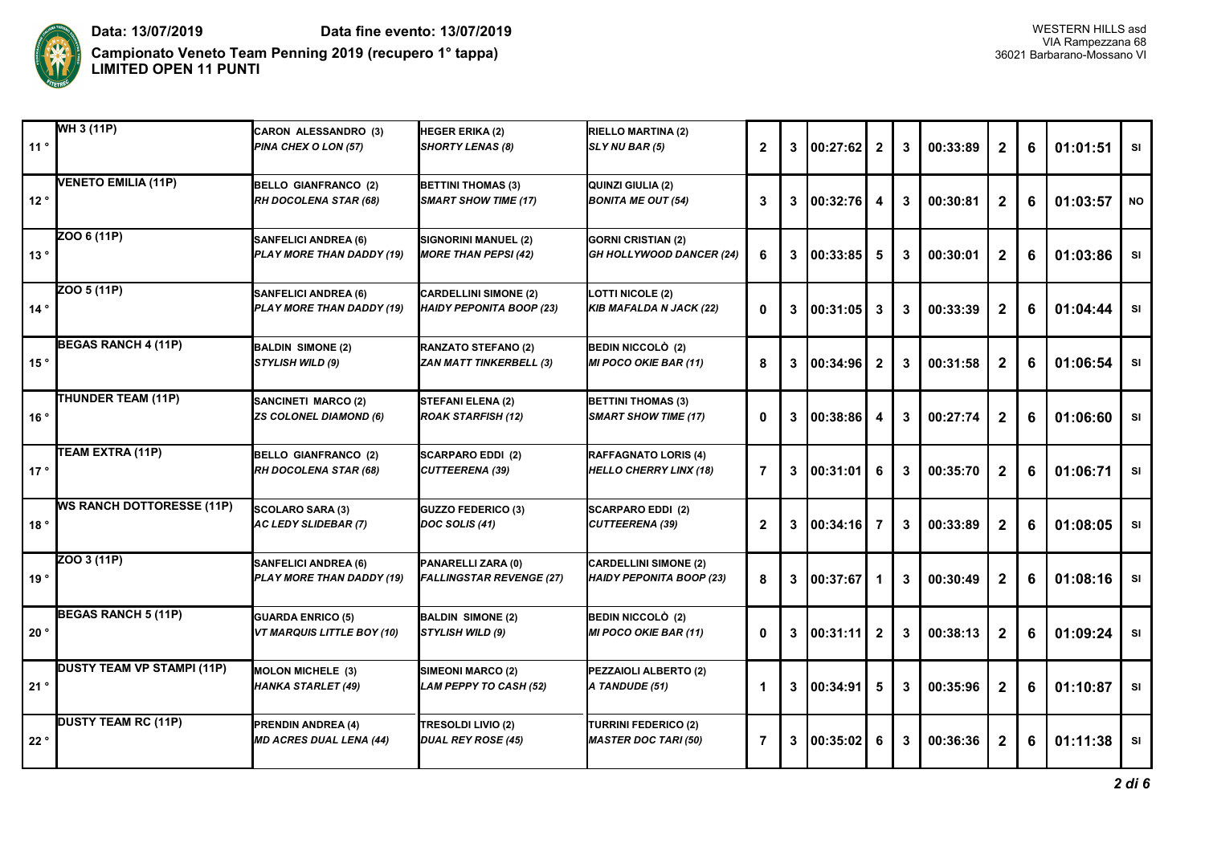

**Campionato Veneto Team Penning 2019 (recupero 1° tappa)** 36021 Barbarano-Mossano VI **LIMITED OPEN 11 PUNTI**

| 11°           | $\overline{\textsf{WH}}$ 3 (11P)  | <b>CARON ALESSANDRO (3)</b><br>PINA CHEX O LON (57)           | HEGER ERIKA (2)<br>SHORTY LENAS (8)                             | <b>RIELLO MARTINA (2)</b><br>SLY NU BAR (5)                     | $\mathbf{2}$ | 3 | 00:27:62   | $\mathbf{2}$   | 3 | 00:33:89 | $\mathbf{2}$ | 6 | 01:01:51 | <b>SI</b> |
|---------------|-----------------------------------|---------------------------------------------------------------|-----------------------------------------------------------------|-----------------------------------------------------------------|--------------|---|------------|----------------|---|----------|--------------|---|----------|-----------|
| 12°           | VENETO EMILIA (11P)               | <b>BELLO GIANFRANCO (2)</b><br>RH DOCOLENA STAR (68)          | <b>BETTINI THOMAS (3)</b><br><b>SMART SHOW TIME (17)</b>        | QUINZI GIULIA (2)<br><b>BONITA ME OUT (54)</b>                  | 3            | 3 | 00:32:76   | 4              | 3 | 00:30:81 | $\mathbf{2}$ | 6 | 01:03:57 | <b>NO</b> |
| 13°           | ZOO 6 (11P)                       | <b>SANFELICI ANDREA (6)</b><br>PLAY MORE THAN DADDY (19)      | SIGNORINI MANUEL (2)<br><b>MORE THAN PEPSI (42)</b>             | <b>GORNI CRISTIAN (2)</b><br><b>GH HOLLYWOOD DANCER (24)</b>    | 6            | 3 | 00:33:85   | 5              | 3 | 00:30:01 | $\mathbf{2}$ | 6 | 01:03:86 | SI        |
| 14°           | ZOO 5 (11P)                       | <b>SANFELICI ANDREA (6)</b><br>PLAY MORE THAN DADDY (19)      | <b>CARDELLINI SIMONE (2)</b><br><b>HAIDY PEPONITA BOOP (23)</b> | <b>LOTTI NICOLE (2)</b><br><b>KIB MAFALDA N JACK (22)</b>       | $\mathbf{0}$ | 3 | 00:31:05   | 3              | 3 | 00:33:39 | $\mathbf{2}$ | 6 | 01:04:44 | SI        |
| 15 $^{\circ}$ | <b>BEGAS RANCH 4 (11P)</b>        | <b>BALDIN SIMONE (2)</b><br><b>STYLISH WILD (9)</b>           | <b>RANZATO STEFANO (2)</b><br><b>ZAN MATT TINKERBELL (3)</b>    | BEDIN NICCOLÒ (2)<br><b>MI POCO OKIE BAR (11)</b>               | 8            | 3 | 00:34:96   | $\overline{2}$ | 3 | 00:31:58 | $\mathbf{2}$ | 6 | 01:06:54 | <b>SI</b> |
| 16 $^{\circ}$ | THUNDER TEAM (11P)                | <b>SANCINETI MARCO (2)</b><br><b>ZS COLONEL DIAMOND (6)</b>   | STEFANI ELENA (2)<br><b>ROAK STARFISH (12)</b>                  | <b>BETTINI THOMAS (3)</b><br><b>SMART SHOW TIME (17)</b>        | $\mathbf{0}$ | 3 | 00:38:86   | 4              | 3 | 00:27:74 | $\mathbf{2}$ | 6 | 01:06:60 | <b>SI</b> |
| 17°           | TEAM EXTRA (11P)                  | <b>BELLO GIANFRANCO (2)</b><br>RH DOCOLENA STAR (68)          | <b>SCARPARO EDDI (2)</b><br><b>CUTTEERENA (39)</b>              | <b>RAFFAGNATO LORIS (4)</b><br><b>HELLO CHERRY LINX (18)</b>    | 7            | 3 | 100:31:01  | 6              | 3 | 00:35:70 | $\mathbf{2}$ | 6 | 01:06:71 | SI        |
| 18°           | <b>WS RANCH DOTTORESSE (11P)</b>  | SCOLARO SARA (3)<br><b>AC LEDY SLIDEBAR (7)</b>               | <b>GUZZO FEDERICO (3)</b><br>DOC SOLIS (41)                     | <b>SCARPARO EDDI (2)</b><br><b>CUTTEERENA (39)</b>              | $\mathbf{2}$ | 3 | 100:34:161 | 7              | 3 | 00:33:89 | $\mathbf{2}$ | 6 | 01:08:05 | SI        |
| 19°           | ZOO 3 (11P)                       | <b>SANFELICI ANDREA (6)</b><br>PLAY MORE THAN DADDY (19)      | PANARELLI ZARA (0)<br><b>FALLINGSTAR REVENGE (27)</b>           | <b>CARDELLINI SIMONE (2)</b><br><b>HAIDY PEPONITA BOOP (23)</b> | 8            | 3 | 100:37:671 | 1              | 3 | 00:30:49 | $\mathbf{2}$ | 6 | 01:08:16 | SI        |
| 20°           | <b>BEGAS RANCH 5 (11P)</b>        | <b>GUARDA ENRICO (5)</b><br><b>VT MARQUIS LITTLE BOY (10)</b> | <b>BALDIN SIMONE (2)</b><br>STYLISH WILD (9)                    | BEDIN NICCOLÒ (2)<br><b>MI POCO OKIE BAR (11)</b>               | $\mathbf{0}$ | 3 | 100:31:11  | $\mathbf{2}$   | 3 | 00:38:13 | $\mathbf{2}$ | 6 | 01:09:24 | <b>SI</b> |
| 21°           | <b>DUSTY TEAM VP STAMPI (11P)</b> | <b>MOLON MICHELE (3)</b><br><b>HANKA STARLET (49)</b>         | SIMEONI MARCO (2)<br><b>LAM PEPPY TO CASH (52)</b>              | PEZZAIOLI ALBERTO (2)<br>A TANDUDE (51)                         | 1            | 3 | 00:34:91   | 5              | 3 | 00:35:96 | $\mathbf{2}$ | 6 | 01:10:87 | <b>SI</b> |
| 22°           | <b>DUSTY TEAM RC (11P)</b>        | <b>PRENDIN ANDREA (4)</b><br><b>MD ACRES DUAL LENA (44)</b>   | TRESOLDI LIVIO (2)<br><b>DUAL REY ROSE (45)</b>                 | <b>TURRINI FEDERICO (2)</b><br><b>MASTER DOC TARI (50)</b>      | 7            | 3 | 00:35:02   | 6              | 3 | 00:36:36 | $\mathbf{2}$ | 6 | 01:11:38 | SI        |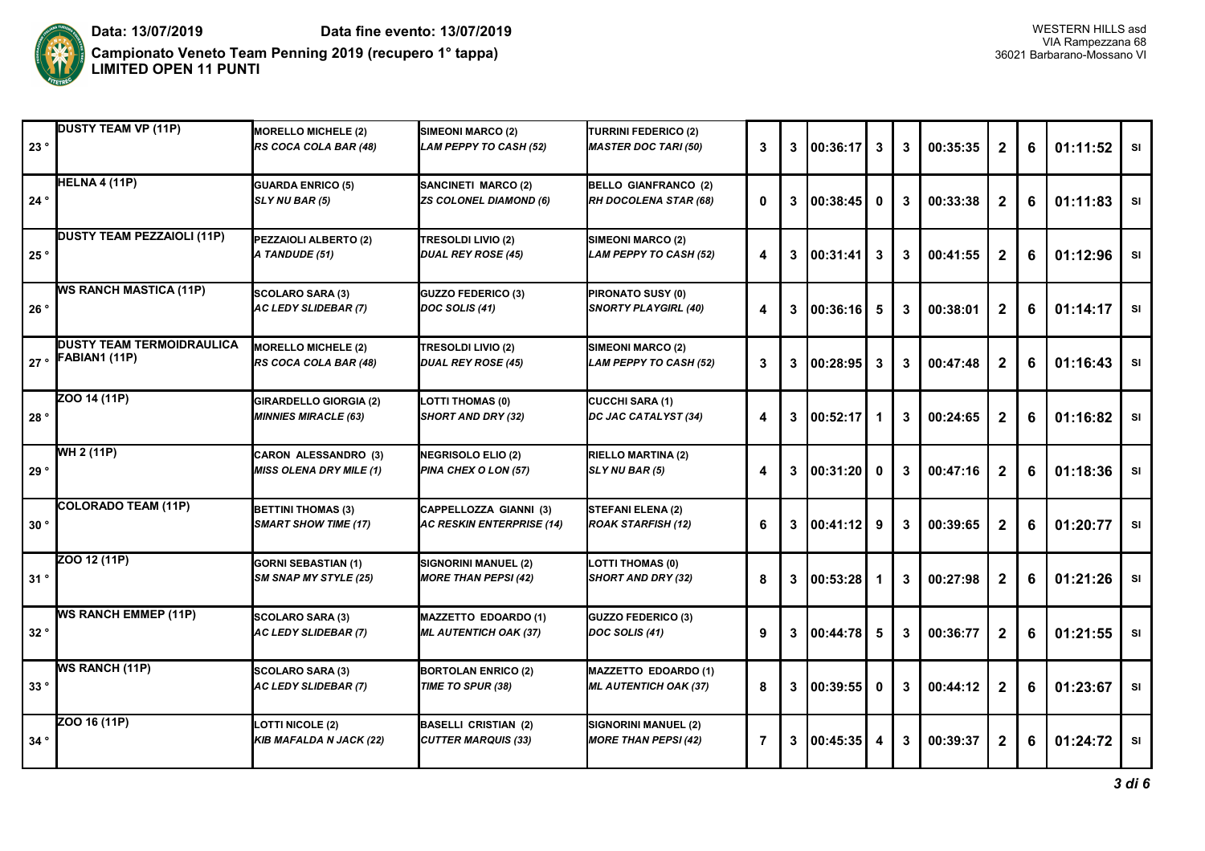

| 23° | <b>DUSTY TEAM VP (11P)</b>                              | <b>MORELLO MICHELE (2)</b><br>RS COCA COLA BAR (48)           | SIMEONI MARCO (2)<br>LAM PEPPY TO CASH (52)                 | <b>TURRINI FEDERICO (2)</b><br><b>MASTER DOC TARI (50)</b> | 3 | 3 | 100:36:17         | 3        | 3 | 00:35:35 | $\mathbf{2}$ | 6 | 01:11:52 | <b>SI</b> |
|-----|---------------------------------------------------------|---------------------------------------------------------------|-------------------------------------------------------------|------------------------------------------------------------|---|---|-------------------|----------|---|----------|--------------|---|----------|-----------|
| 24° | HELNA 4 (11P)                                           | <b>GUARDA ENRICO (5)</b><br>SLY NU BAR (5)                    | SANCINETI MARCO (2)<br><b>ZS COLONEL DIAMOND (6)</b>        | <b>BELLO GIANFRANCO (2)</b><br>RH DOCOLENA STAR (68)       | 0 | 3 | 00:38:45          | 0        | 3 | 00:33:38 | $\mathbf{2}$ | 6 | 01:11:83 | SI        |
| 25° | <b>DUSTY TEAM PEZZAIOLI (11P)</b>                       | PEZZAIOLI ALBERTO (2)<br>A TANDUDE (51)                       | TRESOLDI LIVIO (2)<br><b>DUAL REY ROSE (45)</b>             | SIMEONI MARCO (2)<br>LAM PEPPY TO CASH (52)                | 4 |   | 3   00:31:41      | 3        | 3 | 00:41:55 | $\mathbf{2}$ | 6 | 01:12:96 | <b>SI</b> |
| 26° | <b>WS RANCH MASTICA (11P)</b>                           | SCOLARO SARA (3)<br><b>AC LEDY SLIDEBAR (7)</b>               | GUZZO FEDERICO (3)<br>DOC SOLIS (41)                        | PIRONATO SUSY (0)<br><b>SNORTY PLAYGIRL (40)</b>           | 4 | 3 | 100:36:16         | 5        | 3 | 00:38:01 | $\mathbf{2}$ | 6 | 01:14:17 | SI        |
|     | <b>IDUSTY TEAM TERMOIDRAULICA</b><br>27 · FABIAN1 (11P) | <b>MORELLO MICHELE (2)</b><br>RS COCA COLA BAR (48)           | <b>TRESOLDI LIVIO (2)</b><br><b>DUAL REY ROSE (45)</b>      | SIMEONI MARCO (2)<br>LAM PEPPY TO CASH (52)                | 3 | 3 | 00:28:95          | 3        | 3 | 00:47:48 | $\mathbf{2}$ | 6 | 01:16:43 | <b>SI</b> |
| 28° | ZOO 14 (11P)                                            | <b>GIRARDELLO GIORGIA (2)</b><br><b>MINNIES MIRACLE (63)</b>  | <b>LOTTI THOMAS (0)</b><br>SHORT AND DRY (32)               | <b>CUCCHI SARA (1)</b><br>DC JAC CATALYST (34)             | 4 | 3 | 100:52:17         | 1        | 3 | 00:24:65 | $\mathbf{2}$ | 6 | 01:16:82 | SI        |
| 29° | WH 2 (11P)                                              | <b>CARON ALESSANDRO (3)</b><br><b>MISS OLENA DRY MILE (1)</b> | <b>NEGRISOLO ELIO (2)</b><br>PINA CHEX O LON (57)           | <b>RIELLO MARTINA (2)</b><br>SLY NU BAR (5)                | 4 |   | $3 \mid 00:31:20$ | $\bf{0}$ | 3 | 00:47:16 | $\mathbf{2}$ | 6 | 01:18:36 | SI        |
| 30° | COLORADO TEAM (11P)                                     | <b>BETTINI THOMAS (3)</b><br><b>SMART SHOW TIME (17)</b>      | CAPPELLOZZA GIANNI (3)<br><b>AC RESKIN ENTERPRISE (14)</b>  | <b>STEFANI ELENA (2)</b><br><b>ROAK STARFISH (12)</b>      | 6 |   | 3   00:41:12      | 9        | 3 | 00:39:65 | $\mathbf{2}$ | 6 | 01:20:77 | SI        |
| 31° | 20012(11P)                                              | <b>GORNI SEBASTIAN (1)</b><br><b>SM SNAP MY STYLE (25)</b>    | SIGNORINI MANUEL (2)<br><b>MORE THAN PEPSI (42)</b>         | <b>LOTTI THOMAS (0)</b><br>SHORT AND DRY (32)              | 8 | 3 | 100:53:28         | 1        | 3 | 00:27:98 | $\mathbf{2}$ | 6 | 01:21:26 | <b>SI</b> |
| 32° | <b>WS RANCH EMMEP (11P)</b>                             | <b>SCOLARO SARA (3)</b><br>AC LEDY SLIDEBAR (7)               | <b>MAZZETTO EDOARDO (1)</b><br><b>ML AUTENTICH OAK (37)</b> | <b>GUZZO FEDERICO (3)</b><br>DOC SOLIS (41)                | 9 | 3 | 100:44:78         | 5        | 3 | 00:36:77 | $\mathbf{2}$ | 6 | 01:21:55 | SI        |
| 33° | <b>WS RANCH (11P)</b>                                   | <b>SCOLARO SARA (3)</b><br><b>AC LEDY SLIDEBAR (7)</b>        | <b>BORTOLAN ENRICO (2)</b><br>TIME TO SPUR (38)             | MAZZETTO EDOARDO (1)<br><b>ML AUTENTICH OAK (37)</b>       | 8 | 3 | 00:39:55          | $\bf{0}$ | 3 | 00:44:12 | $\mathbf{2}$ | 6 | 01:23:67 | SI        |
| 34° | ZOO 16 (11P)                                            | <b>LOTTI NICOLE (2)</b><br><b>KIB MAFALDA N JACK (22)</b>     | <b>BASELLI CRISTIAN (2)</b><br><b>CUTTER MARQUIS (33)</b>   | SIGNORINI MANUEL (2)<br><b>MORE THAN PEPSI (42)</b>        | 7 | 3 | 00:45:35          | 4        | 3 | 00:39:37 | $\mathbf{2}$ | 6 | 01:24:72 | SI        |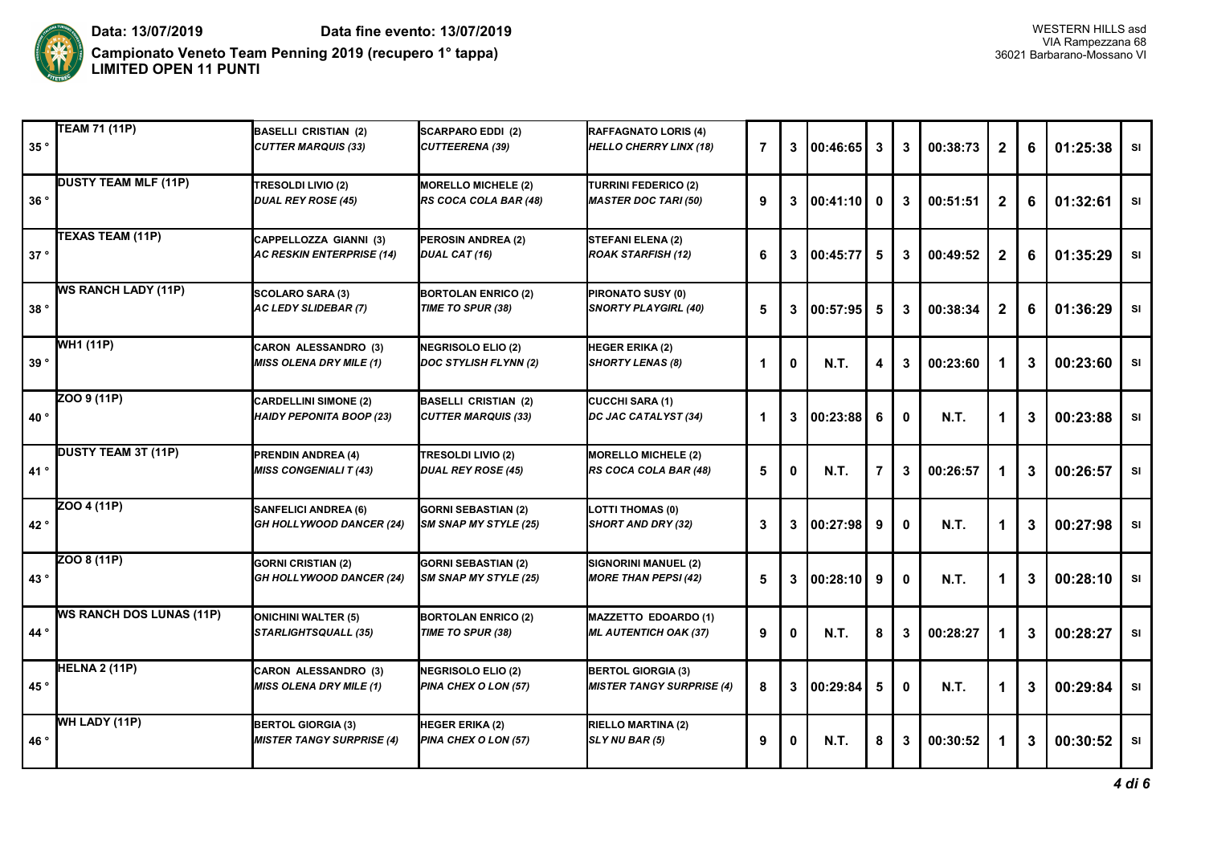

| 35°           | TEAM 71 (11P)                   | <b>BASELLI CRISTIAN (2)</b><br><b>CUTTER MARQUIS (33)</b>       | <b>SCARPARO EDDI (2)</b><br><b>CUTTEERENA (39)</b>        | <b>RAFFAGNATO LORIS (4)</b><br><b>HELLO CHERRY LINX (18)</b>  | $\overline{7}$ | 3 | 00:46:65    | 3 | 3 | 00:38:73    | $\mathbf{2}$ | 6 | 01:25:38 | SI        |
|---------------|---------------------------------|-----------------------------------------------------------------|-----------------------------------------------------------|---------------------------------------------------------------|----------------|---|-------------|---|---|-------------|--------------|---|----------|-----------|
| 36°           | <b>DUSTY TEAM MLF (11P)</b>     | <b>TRESOLDI LIVIO (2)</b><br><b>DUAL REY ROSE (45)</b>          | <b>MORELLO MICHELE (2)</b><br>RS COCA COLA BAR (48)       | TURRINI FEDERICO (2)<br><b>MASTER DOC TARI (50)</b>           | 9              | 3 | 00:41:10    | 0 | 3 | 00:51:51    | $\mathbf{2}$ | 6 | 01:32:61 | SI        |
| 37°           | TEXAS TEAM (11P)                | CAPPELLOZZA GIANNI (3)<br><b>AC RESKIN ENTERPRISE (14)</b>      | PEROSIN ANDREA (2)<br><b>DUAL CAT (16)</b>                | <b>STEFANI ELENA (2)</b><br><b>ROAK STARFISH (12)</b>         | 6              | 3 | 00:45:77    | 5 | 3 | 00:49:52    | $\mathbf{2}$ | 6 | 01:35:29 | <b>SI</b> |
| 38°           | <b>WS RANCH LADY (11P)</b>      | <b>SCOLARO SARA (3)</b><br><b>AC LEDY SLIDEBAR (7)</b>          | <b>BORTOLAN ENRICO (2)</b><br>TIME TO SPUR (38)           | PIRONATO SUSY (0)<br><b>SNORTY PLAYGIRL (40)</b>              | 5              | 3 | 00:57:95    | 5 | 3 | 00:38:34    | $\mathbf{2}$ | 6 | 01:36:29 | SI        |
| 39°           | WH1 (11P)                       | <b>CARON ALESSANDRO (3)</b><br><b>MISS OLENA DRY MILE (1)</b>   | <b>NEGRISOLO ELIO (2)</b><br><b>DOC STYLISH FLYNN (2)</b> | <b>HEGER ERIKA (2)</b><br><b>SHORTY LENAS (8)</b>             | 1.             | 0 | <b>N.T.</b> | 4 | 3 | 00:23:60    |              | 3 | 00:23:60 | SI        |
| 40 $^{\circ}$ | ZOO 9 (11P)                     | <b>CARDELLINI SIMONE (2)</b><br><b>HAIDY PEPONITA BOOP (23)</b> | <b>BASELLI CRISTIAN (2)</b><br><b>CUTTER MARQUIS (33)</b> | <b>CUCCHI SARA (1)</b><br>DC JAC CATALYST (34)                | 1              | 3 | 00:23:88    | 6 | 0 | <b>N.T.</b> | 1            | 3 | 00:23:88 | SI        |
| 41°           | <b>DUSTY TEAM 3T (11P)</b>      | PRENDIN ANDREA (4)<br><b>MISS CONGENIALI T (43)</b>             | TRESOLDI LIVIO (2)<br><b>DUAL REY ROSE (45)</b>           | <b>MORELLO MICHELE (2)</b><br>RS COCA COLA BAR (48)           | 5              | 0 | <b>N.T.</b> | 7 | 3 | 00:26:57    | 1            | 3 | 00:26:57 | <b>SI</b> |
| 42°           | ZOO 4 (11P)                     | <b>SANFELICI ANDREA (6)</b><br>GH HOLLYWOOD DANCER (24)         | <b>GORNI SEBASTIAN (2)</b><br>SM SNAP MY STYLE (25)       | <b>LOTTI THOMAS (0)</b><br>SHORT AND DRY (32)                 | 3              | 3 | 00:27:98    | 9 | 0 | <b>N.T.</b> | 1            | 3 | 00:27:98 | <b>SI</b> |
| 43°           | ZOO 8 (11P)                     | <b>GORNI CRISTIAN (2)</b><br>GH HOLLYWOOD DANCER (24)           | <b>GORNI SEBASTIAN (2)</b><br>SM SNAP MY STYLE (25)       | SIGNORINI MANUEL (2)<br><b>MORE THAN PEPSI (42)</b>           | 5              | 3 | 00:28:10    | 9 | 0 | <b>N.T.</b> | 1            | 3 | 00:28:10 | <b>SI</b> |
| 44°           | <b>WS RANCH DOS LUNAS (11P)</b> | <b>ONICHINI WALTER (5)</b><br><b>STARLIGHTSQUALL (35)</b>       | <b>BORTOLAN ENRICO (2)</b><br>TIME TO SPUR (38)           | <b>MAZZETTO EDOARDO (1)</b><br><b>ML AUTENTICH OAK (37)</b>   | 9              | 0 | <b>N.T.</b> | 8 | 3 | 00:28:27    |              | 3 | 00:28:27 | SI        |
| 45°           | HELNA 2 (11P)                   | <b>CARON ALESSANDRO (3)</b><br><b>MISS OLENA DRY MILE (1)</b>   | <b>NEGRISOLO ELIO (2)</b><br>PINA CHEX O LON (57)         | <b>BERTOL GIORGIA (3)</b><br><b>MISTER TANGY SURPRISE (4)</b> | 8              | 3 | 00:29:84    | 5 | 0 | <b>N.T.</b> | 1            | 3 | 00:29:84 | <b>SI</b> |
| 46°           | WH LADY (11P)                   | <b>BERTOL GIORGIA (3)</b><br><b>MISTER TANGY SURPRISE (4)</b>   | <b>HEGER ERIKA (2)</b><br>PINA CHEX O LON (57)            | <b>RIELLO MARTINA (2)</b><br>SLY NU BAR (5)                   | 9              | 0 | <b>N.T.</b> | 8 | 3 | 00:30:52    | 1            | 3 | 00:30:52 | <b>SI</b> |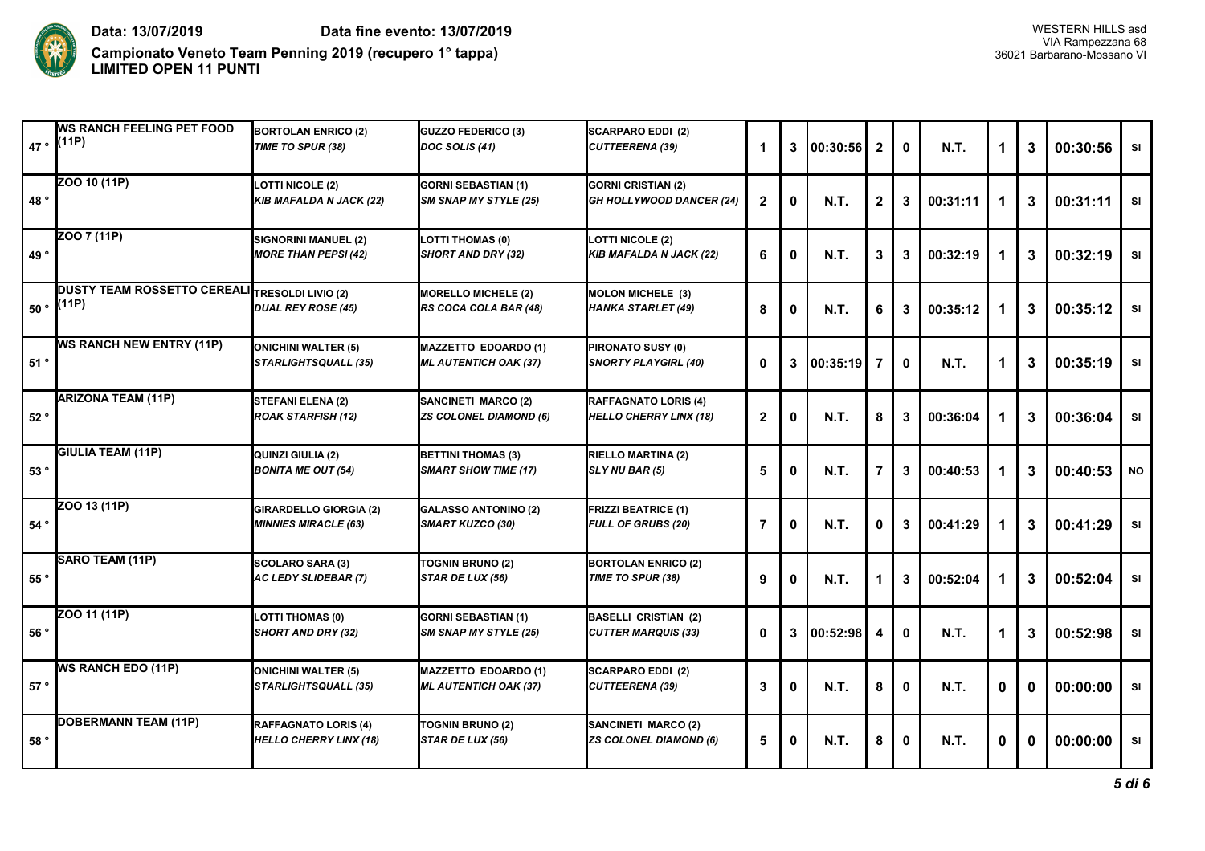

**Campionato Veneto Team Penning 2019 (recupero 1° tappa)** 36021 Barbarano-Mossano VI **LIMITED OPEN 11 PUNTI**

|               | <b>IWS RANCH FEELING PET FOOD</b><br>$47 \cdot  (11P)$  | <b>BORTOLAN ENRICO (2)</b><br>TIME TO SPUR (38)              | <b>GUZZO FEDERICO (3)</b><br>DOC SOLIS (41)                 | <b>SCARPARO EDDI (2)</b><br>CUTTEERENA (39)                  |              | 3           | 00:30:56     | $\mathbf{2}$ | 0            | <b>N.T.</b> | 1 | 3            | 00:30:56 | SI        |
|---------------|---------------------------------------------------------|--------------------------------------------------------------|-------------------------------------------------------------|--------------------------------------------------------------|--------------|-------------|--------------|--------------|--------------|-------------|---|--------------|----------|-----------|
| 48°           | ZOO 10 (11P)                                            | <b>LOTTI NICOLE (2)</b><br><b>KIB MAFALDA N JACK (22)</b>    | <b>GORNI SEBASTIAN (1)</b><br><b>SM SNAP MY STYLE (25)</b>  | <b>GORNI CRISTIAN (2)</b><br><b>GH HOLLYWOOD DANCER (24)</b> | $\mathbf{2}$ | 0           | <b>N.T.</b>  | $\mathbf{2}$ | 3            | 00:31:11    | 1 | 3            | 00:31:11 | <b>SI</b> |
| 49°           | ZOO 7 (11P)                                             | SIGNORINI MANUEL (2)<br><b>MORE THAN PEPSI (42)</b>          | LOTTI THOMAS (0)<br>SHORT AND DRY (32)                      | <b>LOTTI NICOLE (2)</b><br>KIB MAFALDA N JACK (22)           | 6            | 0           | <b>N.T.</b>  | 3            | 3            | 00:32:19    | 1 | 3            | 00:32:19 | SI        |
| $50^{\circ}$  | DUSTY TEAM ROSSETTO CEREALI TRESOLDI LIVIO (2)<br>(11P) | <b>DUAL REY ROSE (45)</b>                                    | <b>MORELLO MICHELE (2)</b><br>RS COCA COLA BAR (48)         | MOLON MICHELE (3)<br>HANKA STARLET (49)                      | 8            | $\mathbf 0$ | <b>N.T.</b>  | 6            | 3            | 00:35:12    | 1 | 3            | 00:35:12 | SI        |
| 51°           | <b>WS RANCH NEW ENTRY (11P)</b>                         | <b>ONICHINI WALTER (5)</b><br>STARLIGHTSQUALL (35)           | <b>MAZZETTO EDOARDO (1)</b><br><b>ML AUTENTICH OAK (37)</b> | PIRONATO SUSY (0)<br><b>SNORTY PLAYGIRL (40)</b>             | $\mathbf{0}$ | 3           | 00:35:19     | 7            | $\mathbf{0}$ | <b>N.T.</b> | 1 | 3            | 00:35:19 | SI        |
| 52°           | <b>ARIZONA TEAM (11P)</b>                               | STEFANI ELENA (2)<br><b>ROAK STARFISH (12)</b>               | <b>SANCINETI MARCO (2)</b><br><b>ZS COLONEL DIAMOND (6)</b> | RAFFAGNATO LORIS (4)<br><b>HELLO CHERRY LINX (18)</b>        | $\mathbf{2}$ | 0           | <b>N.T.</b>  | 8            | 3            | 00:36:04    |   | 3            | 00:36:04 | SI        |
| 53°           | <b>GIULIA TEAM (11P)</b>                                | QUINZI GIULIA (2)<br><b>BONITA ME OUT (54)</b>               | <b>BETTINI THOMAS (3)</b><br><b>SMART SHOW TIME (17)</b>    | <b>RIELLO MARTINA (2)</b><br>SLY NU BAR (5)                  | 5            | 0           | <b>N.T.</b>  |              | 3            | 00:40:53    |   | 3            | 00:40:53 | <b>NO</b> |
| $54^{\circ}$  | ZOO 13 (11P)                                            | <b>GIRARDELLO GIORGIA (2)</b><br><b>MINNIES MIRACLE (63)</b> | <b>GALASSO ANTONINO (2)</b><br><b>SMART KUZCO (30)</b>      | <b>FRIZZI BEATRICE (1)</b><br><b>FULL OF GRUBS (20)</b>      | 7            | 0           | <b>N.T.</b>  | O            | 3            | 00:41:29    |   | 3            | 00:41:29 | SI        |
| 55 $^{\circ}$ | SARO TEAM (11P)                                         | SCOLARO SARA (3)<br><b>AC LEDY SLIDEBAR (7)</b>              | <b>TOGNIN BRUNO (2)</b><br>STAR DE LUX (56)                 | <b>BORTOLAN ENRICO (2)</b><br>TIME TO SPUR (38)              | 9            | 0           | <b>N.T.</b>  |              | 3            | 00:52:04    |   | 3            | 00:52:04 | <b>SI</b> |
| 56°           | ZOO 11 (11P)                                            | LOTTI THOMAS (0)<br><b>SHORT AND DRY (32)</b>                | <b>GORNI SEBASTIAN (1)</b><br><b>SM SNAP MY STYLE (25)</b>  | <b>BASELLI CRISTIAN (2)</b><br><b>CUTTER MARQUIS (33)</b>    | 0            |             | 3   00:52:98 | 4            | $\mathbf{0}$ | <b>N.T.</b> | 1 | 3            | 00:52:98 | SI        |
| 57°           | <b>WS RANCH EDO (11P)</b>                               | <b>ONICHINI WALTER (5)</b><br>STARLIGHTSQUALL (35)           | <b>MAZZETTO EDOARDO (1)</b><br><b>ML AUTENTICH OAK (37)</b> | <b>SCARPARO EDDI (2)</b><br>CUTTEERENA (39)                  | 3            | 0           | <b>N.T.</b>  | 8            | 0            | <b>N.T.</b> | 0 | $\mathbf{0}$ | 00:00:00 | SI        |
| 58°           | DOBERMANN TEAM (11P)                                    | RAFFAGNATO LORIS (4)<br><b>HELLO CHERRY LINX (18)</b>        | TOGNIN BRUNO (2)<br>STAR DE LUX (56)                        | SANCINETI MARCO (2)<br><b>ZS COLONEL DIAMOND (6)</b>         | 5            | 0           | <b>N.T.</b>  | 8            | $\mathbf 0$  | <b>N.T.</b> | 0 | 0            | 00:00:00 | SI        |